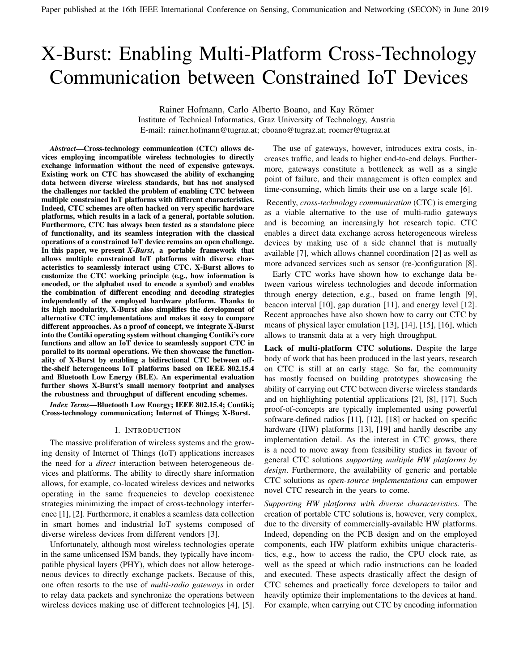# X-Burst: Enabling Multi-Platform Cross-Technology Communication between Constrained IoT Devices

Rainer Hofmann, Carlo Alberto Boano, and Kay Römer Institute of Technical Informatics, Graz University of Technology, Austria E-mail: rainer.hofmann@tugraz.at; cboano@tugraz.at; roemer@tugraz.at

*Abstract*—Cross-technology communication (CTC) allows devices employing incompatible wireless technologies to directly exchange information without the need of expensive gateways. Existing work on CTC has showcased the ability of exchanging data between diverse wireless standards, but has not analysed the challenges nor tackled the problem of enabling CTC between multiple constrained IoT platforms with different characteristics. Indeed, CTC schemes are often hacked on very specific hardware platforms, which results in a lack of a general, portable solution. Furthermore, CTC has always been tested as a standalone piece of functionality, and its seamless integration with the classical operations of a constrained IoT device remains an open challenge. In this paper, we present *X-Burst*, a portable framework that allows multiple constrained IoT platforms with diverse characteristics to seamlessly interact using CTC. X-Burst allows to customize the CTC working principle (e.g., how information is encoded, or the alphabet used to encode a symbol) and enables the combination of different encoding and decoding strategies independently of the employed hardware platform. Thanks to its high modularity, X-Burst also simplifies the development of alternative CTC implementations and makes it easy to compare different approaches. As a proof of concept, we integrate X-Burst into the Contiki operating system without changing Contiki's core functions and allow an IoT device to seamlessly support CTC in parallel to its normal operations. We then showcase the functionality of X-Burst by enabling a bidirectional CTC between offthe-shelf heterogeneous IoT platforms based on IEEE 802.15.4 and Bluetooth Low Energy (BLE). An experimental evaluation further shows X-Burst's small memory footprint and analyses the robustness and throughput of different encoding schemes.

*Index Terms*—Bluetooth Low Energy; IEEE 802.15.4; Contiki; Cross-technology communication; Internet of Things; X-Burst.

### I. INTRODUCTION

The massive proliferation of wireless systems and the growing density of Internet of Things (IoT) applications increases the need for a *direct* interaction between heterogeneous devices and platforms. The ability to directly share information allows, for example, co-located wireless devices and networks operating in the same frequencies to develop coexistence strategies minimizing the impact of cross-technology interference [1], [2]. Furthermore, it enables a seamless data collection in smart homes and industrial IoT systems composed of diverse wireless devices from different vendors [3].

Unfortunately, although most wireless technologies operate in the same unlicensed ISM bands, they typically have incompatible physical layers (PHY), which does not allow heterogeneous devices to directly exchange packets. Because of this, one often resorts to the use of *multi-radio gateways* in order to relay data packets and synchronize the operations between wireless devices making use of different technologies [4], [5].

The use of gateways, however, introduces extra costs, increases traffic, and leads to higher end-to-end delays. Furthermore, gateways constitute a bottleneck as well as a single point of failure, and their management is often complex and time-consuming, which limits their use on a large scale [6].

Recently, *cross-technology communication* (CTC) is emerging as a viable alternative to the use of multi-radio gateways and is becoming an increasingly hot research topic. CTC enables a direct data exchange across heterogeneous wireless devices by making use of a side channel that is mutually available [7], which allows channel coordination [2] as well as more advanced services such as sensor (re-)configuration [8].

Early CTC works have shown how to exchange data between various wireless technologies and decode information through energy detection, e.g., based on frame length [9], beacon interval [10], gap duration [11], and energy level [12]. Recent approaches have also shown how to carry out CTC by means of physical layer emulation [13], [14], [15], [16], which allows to transmit data at a very high throughput.

Lack of multi-platform CTC solutions. Despite the large body of work that has been produced in the last years, research on CTC is still at an early stage. So far, the community has mostly focused on building prototypes showcasing the ability of carrying out CTC between diverse wireless standards and on highlighting potential applications [2], [8], [17]. Such proof-of-concepts are typically implemented using powerful software-defined radios [11], [12], [18] or hacked on specific hardware (HW) platforms [13], [19] and hardly describe any implementation detail. As the interest in CTC grows, there is a need to move away from feasibility studies in favour of general CTC solutions *supporting multiple HW platforms by design*. Furthermore, the availability of generic and portable CTC solutions as *open-source implementations* can empower novel CTC research in the years to come.

*Supporting HW platforms with diverse characteristics.* The creation of portable CTC solutions is, however, very complex, due to the diversity of commercially-available HW platforms. Indeed, depending on the PCB design and on the employed components, each HW platform exhibits unique characteristics, e.g., how to access the radio, the CPU clock rate, as well as the speed at which radio instructions can be loaded and executed. These aspects drastically affect the design of CTC schemes and practically force developers to tailor and heavily optimize their implementations to the devices at hand. For example, when carrying out CTC by encoding information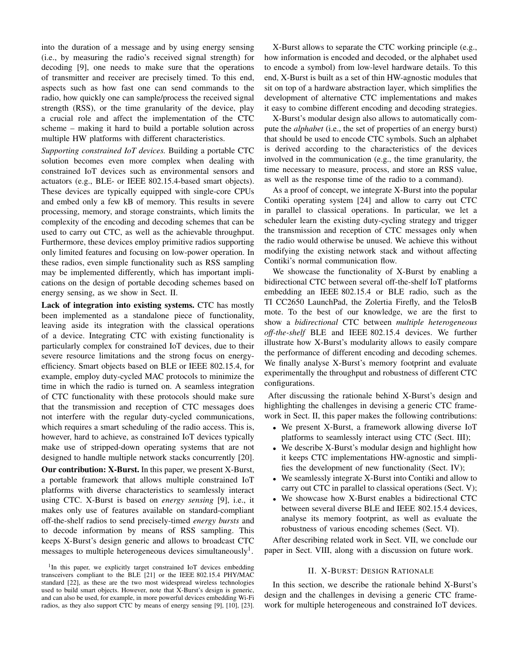into the duration of a message and by using energy sensing (i.e., by measuring the radio's received signal strength) for decoding [9], one needs to make sure that the operations of transmitter and receiver are precisely timed. To this end, aspects such as how fast one can send commands to the radio, how quickly one can sample/process the received signal strength (RSS), or the time granularity of the device, play a crucial role and affect the implementation of the CTC scheme – making it hard to build a portable solution across multiple HW platforms with different characteristics.

*Supporting constrained IoT devices.* Building a portable CTC solution becomes even more complex when dealing with constrained IoT devices such as environmental sensors and actuators (e.g., BLE- or IEEE 802.15.4-based smart objects). These devices are typically equipped with single-core CPUs and embed only a few kB of memory. This results in severe processing, memory, and storage constraints, which limits the complexity of the encoding and decoding schemes that can be used to carry out CTC, as well as the achievable throughput. Furthermore, these devices employ primitive radios supporting only limited features and focusing on low-power operation. In these radios, even simple functionality such as RSS sampling may be implemented differently, which has important implications on the design of portable decoding schemes based on energy sensing, as we show in Sect. II.

Lack of integration into existing systems. CTC has mostly been implemented as a standalone piece of functionality, leaving aside its integration with the classical operations of a device. Integrating CTC with existing functionality is particularly complex for constrained IoT devices, due to their severe resource limitations and the strong focus on energyefficiency. Smart objects based on BLE or IEEE 802.15.4, for example, employ duty-cycled MAC protocols to minimize the time in which the radio is turned on. A seamless integration of CTC functionality with these protocols should make sure that the transmission and reception of CTC messages does not interfere with the regular duty-cycled communications, which requires a smart scheduling of the radio access. This is, however, hard to achieve, as constrained IoT devices typically make use of stripped-down operating systems that are not designed to handle multiple network stacks concurrently [20].

Our contribution: X-Burst. In this paper, we present X-Burst, a portable framework that allows multiple constrained IoT platforms with diverse characteristics to seamlessly interact using CTC. X-Burst is based on *energy sensing* [9], i.e., it makes only use of features available on standard-compliant off-the-shelf radios to send precisely-timed *energy bursts* and to decode information by means of RSS sampling. This keeps X-Burst's design generic and allows to broadcast CTC messages to multiple heterogeneous devices simultaneously<sup>1</sup>.

X-Burst allows to separate the CTC working principle (e.g., how information is encoded and decoded, or the alphabet used to encode a symbol) from low-level hardware details. To this end, X-Burst is built as a set of thin HW-agnostic modules that sit on top of a hardware abstraction layer, which simplifies the development of alternative CTC implementations and makes it easy to combine different encoding and decoding strategies.

X-Burst's modular design also allows to automatically compute the *alphabet* (i.e., the set of properties of an energy burst) that should be used to encode CTC symbols. Such an alphabet is derived according to the characteristics of the devices involved in the communication (e.g., the time granularity, the time necessary to measure, process, and store an RSS value, as well as the response time of the radio to a command).

As a proof of concept, we integrate X-Burst into the popular Contiki operating system [24] and allow to carry out CTC in parallel to classical operations. In particular, we let a scheduler learn the existing duty-cycling strategy and trigger the transmission and reception of CTC messages only when the radio would otherwise be unused. We achieve this without modifying the existing network stack and without affecting Contiki's normal communication flow.

We showcase the functionality of X-Burst by enabling a bidirectional CTC between several off-the-shelf IoT platforms embedding an IEEE 802.15.4 or BLE radio, such as the TI CC2650 LaunchPad, the Zolertia Firefly, and the TelosB mote. To the best of our knowledge, we are the first to show a *bidirectional* CTC between *multiple heterogeneous off-the-shelf* BLE and IEEE 802.15.4 devices. We further illustrate how X-Burst's modularity allows to easily compare the performance of different encoding and decoding schemes. We finally analyse X-Burst's memory footprint and evaluate experimentally the throughput and robustness of different CTC configurations.

After discussing the rationale behind X-Burst's design and highlighting the challenges in devising a generic CTC framework in Sect. II, this paper makes the following contributions:

- We present X-Burst, a framework allowing diverse IoT platforms to seamlessly interact using CTC (Sect. III);
- We describe X-Burst's modular design and highlight how it keeps CTC implementations HW-agnostic and simplifies the development of new functionality (Sect. IV);
- We seamlessly integrate X-Burst into Contiki and allow to carry out CTC in parallel to classical operations (Sect. V);
- We showcase how X-Burst enables a bidirectional CTC between several diverse BLE and IEEE 802.15.4 devices, analyse its memory footprint, as well as evaluate the robustness of various encoding schemes (Sect. VI).

After describing related work in Sect. VII, we conclude our paper in Sect. VIII, along with a discussion on future work.

#### II. X-BURST: DESIGN RATIONALE

In this section, we describe the rationale behind X-Burst's design and the challenges in devising a generic CTC framework for multiple heterogeneous and constrained IoT devices.

<sup>&</sup>lt;sup>1</sup>In this paper, we explicitly target constrained IoT devices embedding transceivers compliant to the BLE [21] or the IEEE 802.15.4 PHY/MAC standard [22], as these are the two most widespread wireless technologies used to build smart objects. However, note that X-Burst's design is generic, and can also be used, for example, in more powerful devices embedding Wi-Fi radios, as they also support CTC by means of energy sensing [9], [10], [23].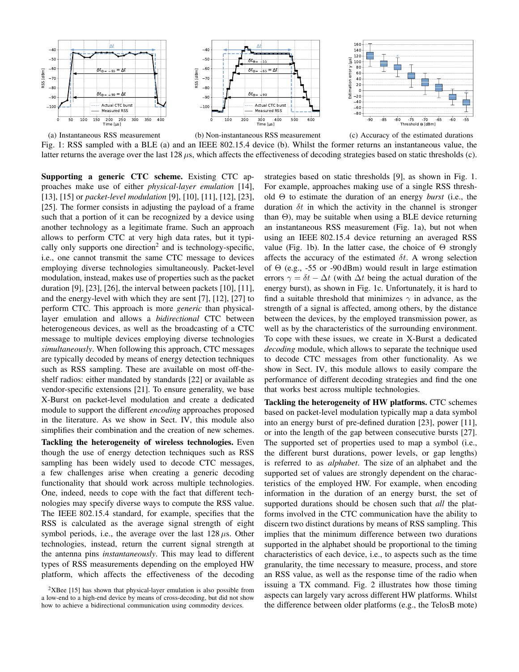

(a) Instantaneous RSS measurement (b) Non-instantaneous RSS measurement (c) Accuracy of the estimated durations Fig. 1: RSS sampled with a BLE (a) and an IEEE 802.15.4 device (b). Whilst the former returns an instantaneous value, the latter returns the average over the last 128  $\mu$ s, which affects the effectiveness of decoding strategies based on static thresholds (c).

Supporting a generic CTC scheme. Existing CTC approaches make use of either *physical-layer emulation* [14], [13], [15] or *packet-level modulation* [9], [10], [11], [12], [23], [25]. The former consists in adjusting the payload of a frame such that a portion of it can be recognized by a device using another technology as a legitimate frame. Such an approach allows to perform CTC at very high data rates, but it typically only supports one direction<sup>2</sup> and is technology-specific, i.e., one cannot transmit the same CTC message to devices employing diverse technologies simultaneously. Packet-level modulation, instead, makes use of properties such as the packet duration [9], [23], [26], the interval between packets [10], [11], and the energy-level with which they are sent [7], [12], [27] to perform CTC. This approach is more *generic* than physicallayer emulation and allows a *bidirectional* CTC between heterogeneous devices, as well as the broadcasting of a CTC message to multiple devices employing diverse technologies *simultaneously*. When following this approach, CTC messages are typically decoded by means of energy detection techniques such as RSS sampling. These are available on most off-theshelf radios: either mandated by standards [22] or available as vendor-specific extensions [21]. To ensure generality, we base X-Burst on packet-level modulation and create a dedicated module to support the different *encoding* approaches proposed in the literature. As we show in Sect. IV, this module also simplifies their combination and the creation of new schemes.

Tackling the heterogeneity of wireless technologies. Even though the use of energy detection techniques such as RSS sampling has been widely used to decode CTC messages, a few challenges arise when creating a generic decoding functionality that should work across multiple technologies. One, indeed, needs to cope with the fact that different technologies may specify diverse ways to compute the RSS value. The IEEE 802.15.4 standard, for example, specifies that the RSS is calculated as the average signal strength of eight symbol periods, i.e., the average over the last  $128 \mu s$ . Other technologies, instead, return the current signal strength at the antenna pins *instantaneously*. This may lead to different types of RSS measurements depending on the employed HW platform, which affects the effectiveness of the decoding strategies based on static thresholds [9], as shown in Fig. 1. For example, approaches making use of a single RSS threshold Θ to estimate the duration of an energy *burst* (i.e., the duration  $\delta t$  in which the activity in the channel is stronger than  $\Theta$ ), may be suitable when using a BLE device returning an instantaneous RSS measurement (Fig. 1a), but not when using an IEEE 802.15.4 device returning an averaged RSS value (Fig. 1b). In the latter case, the choice of  $\Theta$  strongly affects the accuracy of the estimated  $\delta t$ . A wrong selection of  $\Theta$  (e.g., -55 or -90 dBm) would result in large estimation errors  $\gamma = \delta t - \Delta t$  (with  $\Delta t$  being the actual duration of the energy burst), as shown in Fig. 1c. Unfortunately, it is hard to find a suitable threshold that minimizes  $\gamma$  in advance, as the strength of a signal is affected, among others, by the distance between the devices, by the employed transmission power, as well as by the characteristics of the surrounding environment. To cope with these issues, we create in X-Burst a dedicated *decoding* module, which allows to separate the technique used to decode CTC messages from other functionality. As we show in Sect. IV, this module allows to easily compare the performance of different decoding strategies and find the one that works best across multiple technologies.

Tackling the heterogeneity of HW platforms. CTC schemes based on packet-level modulation typically map a data symbol into an energy burst of pre-defined duration [23], power [11], or into the length of the gap between consecutive bursts [27]. The supported set of properties used to map a symbol (i.e., the different burst durations, power levels, or gap lengths) is referred to as *alphabet*. The size of an alphabet and the supported set of values are strongly dependent on the characteristics of the employed HW. For example, when encoding information in the duration of an energy burst, the set of supported durations should be chosen such that *all* the platforms involved in the CTC communication have the ability to discern two distinct durations by means of RSS sampling. This implies that the minimum difference between two durations supported in the alphabet should be proportional to the timing characteristics of each device, i.e., to aspects such as the time granularity, the time necessary to measure, process, and store an RSS value, as well as the response time of the radio when issuing a TX command. Fig. 2 illustrates how those timing aspects can largely vary across different HW platforms. Whilst the difference between older platforms (e.g., the TelosB mote)

<sup>&</sup>lt;sup>2</sup>XBee [15] has shown that physical-layer emulation is also possible from a low-end to a high-end device by means of cross-decoding, but did not show how to achieve a bidirectional communication using commodity devices.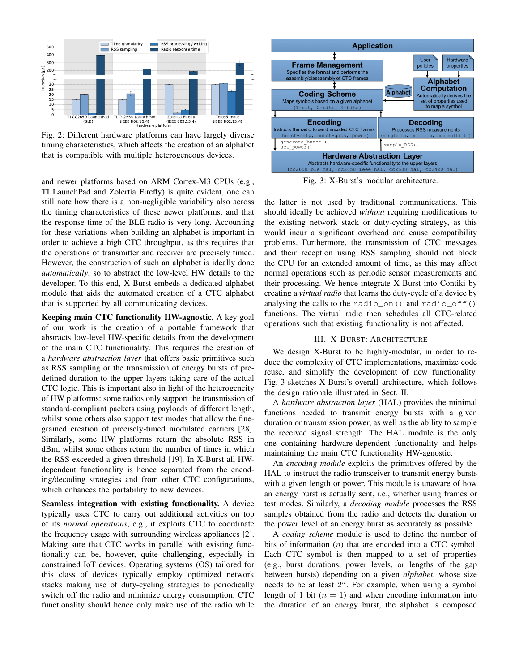

Fig. 2: Different hardware platforms can have largely diverse timing characteristics, which affects the creation of an alphabet that is compatible with multiple heterogeneous devices.

and newer platforms based on ARM Cortex-M3 CPUs (e.g., TI LaunchPad and Zolertia Firefly) is quite evident, one can still note how there is a non-negligible variability also across the timing characteristics of these newer platforms, and that the response time of the BLE radio is very long. Accounting for these variations when building an alphabet is important in order to achieve a high CTC throughput, as this requires that the operations of transmitter and receiver are precisely timed. However, the construction of such an alphabet is ideally done *automatically*, so to abstract the low-level HW details to the developer. To this end, X-Burst embeds a dedicated alphabet module that aids the automated creation of a CTC alphabet that is supported by all communicating devices.

Keeping main CTC functionality HW-agnostic. A key goal of our work is the creation of a portable framework that abstracts low-level HW-specific details from the development of the main CTC functionality. This requires the creation of a *hardware abstraction layer* that offers basic primitives such as RSS sampling or the transmission of energy bursts of predefined duration to the upper layers taking care of the actual CTC logic. This is important also in light of the heterogeneity of HW platforms: some radios only support the transmission of standard-compliant packets using payloads of different length, whilst some others also support test modes that allow the finegrained creation of precisely-timed modulated carriers [28]. Similarly, some HW platforms return the absolute RSS in dBm, whilst some others return the number of times in which the RSS exceeded a given threshold [19]. In X-Burst all HWdependent functionality is hence separated from the encoding/decoding strategies and from other CTC configurations, which enhances the portability to new devices.

Seamless integration with existing functionality. A device typically uses CTC to carry out additional activities on top of its *normal operations*, e.g., it exploits CTC to coordinate the frequency usage with surrounding wireless appliances [2]. Making sure that CTC works in parallel with existing functionality can be, however, quite challenging, especially in constrained IoT devices. Operating systems (OS) tailored for this class of devices typically employ optimized network stacks making use of duty-cycling strategies to periodically switch off the radio and minimize energy consumption. CTC functionality should hence only make use of the radio while



Fig. 3: X-Burst's modular architecture.

the latter is not used by traditional communications. This should ideally be achieved *without* requiring modifications to the existing network stack or duty-cycling strategy, as this would incur a significant overhead and cause compatibility problems. Furthermore, the transmission of CTC messages and their reception using RSS sampling should not block the CPU for an extended amount of time, as this may affect normal operations such as periodic sensor measurements and their processing. We hence integrate X-Burst into Contiki by creating a *virtual radio* that learns the duty-cycle of a device by analysing the calls to the radio\_on() and radio\_off() functions. The virtual radio then schedules all CTC-related operations such that existing functionality is not affected.

#### III. X-BURST: ARCHITECTURE

We design X-Burst to be highly-modular, in order to reduce the complexity of CTC implementations, maximize code reuse, and simplify the development of new functionality. Fig. 3 sketches X-Burst's overall architecture, which follows the design rationale illustrated in Sect. II.

A *hardware abstraction layer* (HAL) provides the minimal functions needed to transmit energy bursts with a given duration or transmission power, as well as the ability to sample the received signal strength. The HAL module is the only one containing hardware-dependent functionality and helps maintaining the main CTC functionality HW-agnostic.

An *encoding module* exploits the primitives offered by the HAL to instruct the radio transceiver to transmit energy bursts with a given length or power. This module is unaware of how an energy burst is actually sent, i.e., whether using frames or test modes. Similarly, a *decoding module* processes the RSS samples obtained from the radio and detects the duration or the power level of an energy burst as accurately as possible.

A *coding scheme* module is used to define the number of bits of information (n) that are encoded into a CTC symbol. Each CTC symbol is then mapped to a set of properties (e.g., burst durations, power levels, or lengths of the gap between bursts) depending on a given *alphabet*, whose size needs to be at least  $2^n$ . For example, when using a symbol length of 1 bit  $(n = 1)$  and when encoding information into the duration of an energy burst, the alphabet is composed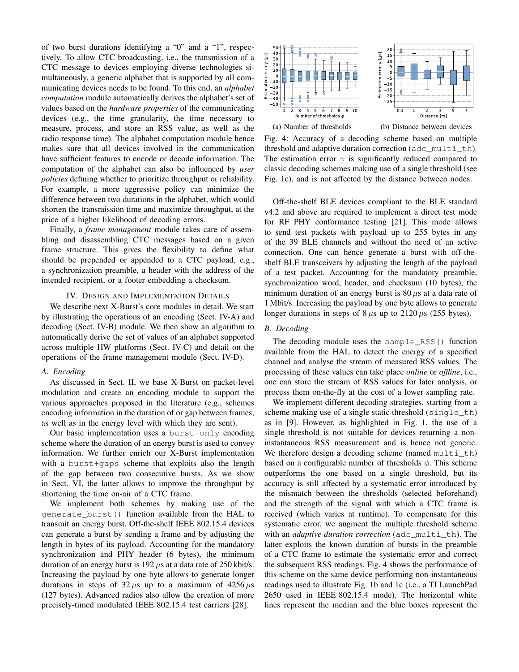of two burst durations identifying a "0" and a "1", respectively. To allow CTC broadcasting, i.e., the transmission of a CTC message to devices employing diverse technologies simultaneously, a generic alphabet that is supported by all communicating devices needs to be found. To this end, an *alphabet computation* module automatically derives the alphabet's set of values based on the *hardware properties* of the communicating devices (e.g., the time granularity, the time necessary to measure, process, and store an RSS value, as well as the radio response time). The alphabet computation module hence makes sure that all devices involved in the communication have sufficient features to encode or decode information. The computation of the alphabet can also be influenced by *user policies* defining whether to prioritize throughput or reliability. For example, a more aggressive policy can minimize the difference between two durations in the alphabet, which would shorten the transmission time and maximize throughput, at the price of a higher likelihood of decoding errors.

Finally, a *frame management* module takes care of assembling and disassembling CTC messages based on a given frame structure. This gives the flexibility to define what should be prepended or appended to a CTC payload, e.g., a synchronization preamble, a header with the address of the intended recipient, or a footer embedding a checksum.

## IV. DESIGN AND IMPLEMENTATION DETAILS

We describe next X-Burst's core modules in detail. We start by illustrating the operations of an encoding (Sect. IV-A) and decoding (Sect. IV-B) module. We then show an algorithm to automatically derive the set of values of an alphabet supported across multiple HW platforms (Sect. IV-C) and detail on the operations of the frame management module (Sect. IV-D).

#### *A. Encoding*

As discussed in Sect. II, we base X-Burst on packet-level modulation and create an encoding module to support the various approaches proposed in the literature (e.g., schemes encoding information in the duration of or gap between frames, as well as in the energy level with which they are sent).

Our basic implementation uses a burst-only encoding scheme where the duration of an energy burst is used to convey information. We further enrich our X-Burst implementation with a burst+gaps scheme that exploits also the length of the gap between two consecutive bursts. As we show in Sect. VI, the latter allows to improve the throughput by shortening the time on-air of a CTC frame.

We implement both schemes by making use of the generate\_burst() function available from the HAL to transmit an energy burst. Off-the-shelf IEEE 802.15.4 devices can generate a burst by sending a frame and by adjusting the length in bytes of its payload. Accounting for the mandatory synchronization and PHY header (6 bytes), the minimum duration of an energy burst is  $192 \mu s$  at a data rate of 250 kbit/s. Increasing the payload by one byte allows to generate longer durations in steps of  $32 \mu s$  up to a maximum of  $4256 \mu s$ (127 bytes). Advanced radios also allow the creation of more precisely-timed modulated IEEE 802.15.4 test carriers [28].



Fig. 4: Accuracy of a decoding scheme based on multiple threshold and adaptive duration correction (adc\_multi\_th). The estimation error  $\gamma$  is significantly reduced compared to classic decoding schemes making use of a single threshold (see Fig. 1c), and is not affected by the distance between nodes.

Off-the-shelf BLE devices compliant to the BLE standard v4.2 and above are required to implement a direct test mode for RF PHY conformance testing [21]. This mode allows to send test packets with payload up to 255 bytes in any of the 39 BLE channels and without the need of an active connection. One can hence generate a burst with off-theshelf BLE transceivers by adjusting the length of the payload of a test packet. Accounting for the mandatory preamble, synchronization word, header, and checksum (10 bytes), the minimum duration of an energy burst is  $80 \mu s$  at a data rate of 1 Mbit/s. Increasing the payload by one byte allows to generate longer durations in steps of  $8 \mu s$  up to  $2120 \mu s$  (255 bytes).

### *B. Decoding*

The decoding module uses the sample\_RSS() function available from the HAL to detect the energy of a specified channel and analyse the stream of measured RSS values. The processing of these values can take place *online* or *offline*, i.e., one can store the stream of RSS values for later analysis, or process them on-the-fly at the cost of a lower sampling rate.

We implement different decoding strategies, starting from a scheme making use of a single static threshold (single\_th) as in [9]. However, as highlighted in Fig. 1, the use of a single threshold is not suitable for devices returning a noninstantaneous RSS measurement and is hence not generic. We therefore design a decoding scheme (named multi\_th) based on a configurable number of thresholds  $\phi$ . This scheme outperforms the one based on a single threshold, but its accuracy is still affected by a systematic error introduced by the mismatch between the thresholds (selected beforehand) and the strength of the signal with which a CTC frame is received (which varies at runtime). To compensate for this systematic error, we augment the multiple threshold scheme with an *adaptive duration correction* (adc\_multi\_th). The latter exploits the known duration of bursts in the preamble of a CTC frame to estimate the systematic error and correct the subsequent RSS readings. Fig. 4 shows the performance of this scheme on the same device performing non-instantaneous readings used to illustrate Fig. 1b and 1c (i.e., a TI LaunchPad 2650 used in IEEE 802.15.4 mode). The horizontal white lines represent the median and the blue boxes represent the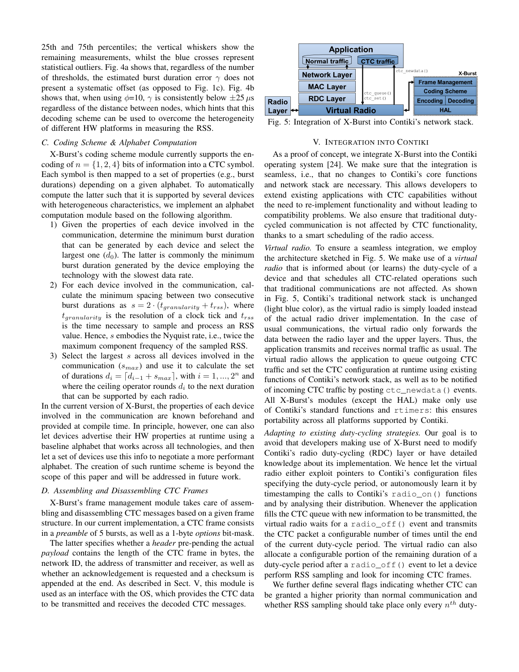25th and 75th percentiles; the vertical whiskers show the remaining measurements, whilst the blue crosses represent statistical outliers. Fig. 4a shows that, regardless of the number of thresholds, the estimated burst duration error  $\gamma$  does not present a systematic offset (as opposed to Fig. 1c). Fig. 4b shows that, when using  $\phi=10$ ,  $\gamma$  is consistently below  $\pm 25 \,\mu s$ regardless of the distance between nodes, which hints that this decoding scheme can be used to overcome the heterogeneity of different HW platforms in measuring the RSS.

## *C. Coding Scheme & Alphabet Computation*

X-Burst's coding scheme module currently supports the encoding of  $n = \{1, 2, 4\}$  bits of information into a CTC symbol. Each symbol is then mapped to a set of properties (e.g., burst durations) depending on a given alphabet. To automatically compute the latter such that it is supported by several devices with heterogeneous characteristics, we implement an alphabet computation module based on the following algorithm.

- 1) Given the properties of each device involved in the communication, determine the minimum burst duration that can be generated by each device and select the largest one  $(d_0)$ . The latter is commonly the minimum burst duration generated by the device employing the technology with the slowest data rate.
- 2) For each device involved in the communication, calculate the minimum spacing between two consecutive burst durations as  $s = 2 \cdot (t_{granularity} + t_{rss})$ , where  $t_{granularity}$  is the resolution of a clock tick and  $t_{rss}$ is the time necessary to sample and process an RSS value. Hence, s embodies the Nyquist rate, i.e., twice the maximum component frequency of the sampled RSS.
- 3) Select the largest s across all devices involved in the communication  $(s_{max})$  and use it to calculate the set of durations  $d_i = \lfloor d_{i-1} + s_{max} \rfloor$ , with  $i = 1, ..., 2^n$  and where the ceiling operator rounds  $d_i$  to the next duration that can be supported by each radio.

In the current version of X-Burst, the properties of each device involved in the communication are known beforehand and provided at compile time. In principle, however, one can also let devices advertise their HW properties at runtime using a baseline alphabet that works across all technologies, and then let a set of devices use this info to negotiate a more performant alphabet. The creation of such runtime scheme is beyond the scope of this paper and will be addressed in future work.

## *D. Assembling and Disassembling CTC Frames*

X-Burst's frame management module takes care of assembling and disassembling CTC messages based on a given frame structure. In our current implementation, a CTC frame consists in a *preamble* of 5 bursts, as well as a 1-byte *options* bit-mask.

The latter specifies whether a *header* pre-pending the actual *payload* contains the length of the CTC frame in bytes, the network ID, the address of transmitter and receiver, as well as whether an acknowledgement is requested and a checksum is appended at the end. As described in Sect. V, this module is used as an interface with the OS, which provides the CTC data to be transmitted and receives the decoded CTC messages.



Fig. 5: Integration of X-Burst into Contiki's network stack.

#### V. INTEGRATION INTO CONTIKI

As a proof of concept, we integrate X-Burst into the Contiki operating system [24]. We make sure that the integration is seamless, i.e., that no changes to Contiki's core functions and network stack are necessary. This allows developers to extend existing applications with CTC capabilities without the need to re-implement functionality and without leading to compatibility problems. We also ensure that traditional dutycycled communication is not affected by CTC functionality, thanks to a smart scheduling of the radio access.

*Virtual radio.* To ensure a seamless integration, we employ the architecture sketched in Fig. 5. We make use of a *virtual radio* that is informed about (or learns) the duty-cycle of a device and that schedules all CTC-related operations such that traditional communications are not affected. As shown in Fig. 5, Contiki's traditional network stack is unchanged (light blue color), as the virtual radio is simply loaded instead of the actual radio driver implementation. In the case of usual communications, the virtual radio only forwards the data between the radio layer and the upper layers. Thus, the application transmits and receives normal traffic as usual. The virtual radio allows the application to queue outgoing CTC traffic and set the CTC configuration at runtime using existing functions of Contiki's network stack, as well as to be notified of incoming CTC traffic by posting ctc\_newdata() events. All X-Burst's modules (except the HAL) make only use of Contiki's standard functions and rtimers: this ensures portability across all platforms supported by Contiki.

*Adapting to existing duty-cycling strategies.* Our goal is to avoid that developers making use of X-Burst need to modify Contiki's radio duty-cycling (RDC) layer or have detailed knowledge about its implementation. We hence let the virtual radio either exploit pointers to Contiki's configuration files specifying the duty-cycle period, or autonomously learn it by timestamping the calls to Contiki's radio\_on() functions and by analysing their distribution. Whenever the application fills the CTC queue with new information to be transmitted, the virtual radio waits for a radio\_off() event and transmits the CTC packet a configurable number of times until the end of the current duty-cycle period. The virtual radio can also allocate a configurable portion of the remaining duration of a duty-cycle period after a radio\_off() event to let a device perform RSS sampling and look for incoming CTC frames.

We further define several flags indicating whether CTC can be granted a higher priority than normal communication and whether RSS sampling should take place only every  $n^{th}$  duty-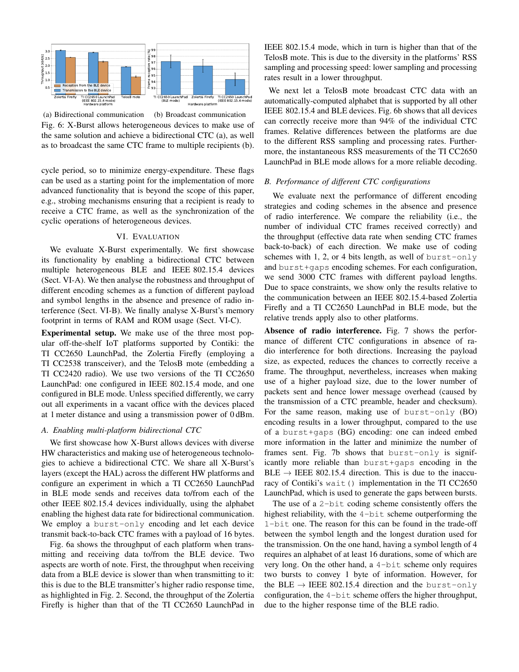

(a) Bidirectional communication (b) Broadcast communication Fig. 6: X-Burst allows heterogeneous devices to make use of the same solution and achieve a bidirectional CTC (a), as well as to broadcast the same CTC frame to multiple recipients (b).

cycle period, so to minimize energy-expenditure. These flags can be used as a starting point for the implementation of more advanced functionality that is beyond the scope of this paper, e.g., strobing mechanisms ensuring that a recipient is ready to receive a CTC frame, as well as the synchronization of the cyclic operations of heterogeneous devices.

## VI. EVALUATION

We evaluate X-Burst experimentally. We first showcase its functionality by enabling a bidirectional CTC between multiple heterogeneous BLE and IEEE 802.15.4 devices (Sect. VI-A). We then analyse the robustness and throughput of different encoding schemes as a function of different payload and symbol lengths in the absence and presence of radio interference (Sect. VI-B). We finally analyse X-Burst's memory footprint in terms of RAM and ROM usage (Sect. VI-C).

Experimental setup. We make use of the three most popular off-the-shelf IoT platforms supported by Contiki: the TI CC2650 LaunchPad, the Zolertia Firefly (employing a TI CC2538 transceiver), and the TelosB mote (embedding a TI CC2420 radio). We use two versions of the TI CC2650 LaunchPad: one configured in IEEE 802.15.4 mode, and one configured in BLE mode. Unless specified differently, we carry out all experiments in a vacant office with the devices placed at 1 meter distance and using a transmission power of 0 dBm.

## *A. Enabling multi-platform bidirectional CTC*

We first showcase how X-Burst allows devices with diverse HW characteristics and making use of heterogeneous technologies to achieve a bidirectional CTC. We share all X-Burst's layers (except the HAL) across the different HW platforms and configure an experiment in which a TI CC2650 LaunchPad in BLE mode sends and receives data to/from each of the other IEEE 802.15.4 devices individually, using the alphabet enabling the highest data rate for bidirectional communication. We employ a burst-only encoding and let each device transmit back-to-back CTC frames with a payload of 16 bytes.

Fig. 6a shows the throughput of each platform when transmitting and receiving data to/from the BLE device. Two aspects are worth of note. First, the throughput when receiving data from a BLE device is slower than when transmitting to it: this is due to the BLE transmitter's higher radio response time, as highlighted in Fig. 2. Second, the throughput of the Zolertia Firefly is higher than that of the TI CC2650 LaunchPad in IEEE 802.15.4 mode, which in turn is higher than that of the TelosB mote. This is due to the diversity in the platforms' RSS sampling and processing speed: lower sampling and processing rates result in a lower throughput.

We next let a TelosB mote broadcast CTC data with an automatically-computed alphabet that is supported by all other IEEE 802.15.4 and BLE devices. Fig. 6b shows that all devices can correctly receive more than 94% of the individual CTC frames. Relative differences between the platforms are due to the different RSS sampling and processing rates. Furthermore, the instantaneous RSS measurements of the TI CC2650 LaunchPad in BLE mode allows for a more reliable decoding.

## *B. Performance of different CTC configurations*

We evaluate next the performance of different encoding strategies and coding schemes in the absence and presence of radio interference. We compare the reliability (i.e., the number of individual CTC frames received correctly) and the throughput (effective data rate when sending CTC frames back-to-back) of each direction. We make use of coding schemes with 1, 2, or 4 bits length, as well of burst-only and burst+gaps encoding schemes. For each configuration, we send 3000 CTC frames with different payload lengths. Due to space constraints, we show only the results relative to the communication between an IEEE 802.15.4-based Zolertia Firefly and a TI CC2650 LaunchPad in BLE mode, but the relative trends apply also to other platforms.

Absence of radio interference. Fig. 7 shows the performance of different CTC configurations in absence of radio interference for both directions. Increasing the payload size, as expected, reduces the chances to correctly receive a frame. The throughput, nevertheless, increases when making use of a higher payload size, due to the lower number of packets sent and hence lower message overhead (caused by the transmission of a CTC preamble, header and checksum). For the same reason, making use of burst-only (BO) encoding results in a lower throughput, compared to the use of a burst+gaps (BG) encoding: one can indeed embed more information in the latter and minimize the number of frames sent. Fig. 7b shows that burst-only is significantly more reliable than burst+gaps encoding in the  $BLE \rightarrow IEEE 802.15.4$  direction. This is due to the inaccuracy of Contiki's wait () implementation in the TI CC2650 LaunchPad, which is used to generate the gaps between bursts.

The use of a 2-bit coding scheme consistently offers the highest reliability, with the 4-bit scheme outperforming the 1-bit one. The reason for this can be found in the trade-off between the symbol length and the longest duration used for the transmission. On the one hand, having a symbol length of 4 requires an alphabet of at least 16 durations, some of which are very long. On the other hand, a 4-bit scheme only requires two bursts to convey 1 byte of information. However, for the BLE  $\rightarrow$  IEEE 802.15.4 direction and the burst-only configuration, the 4-bit scheme offers the higher throughput, due to the higher response time of the BLE radio.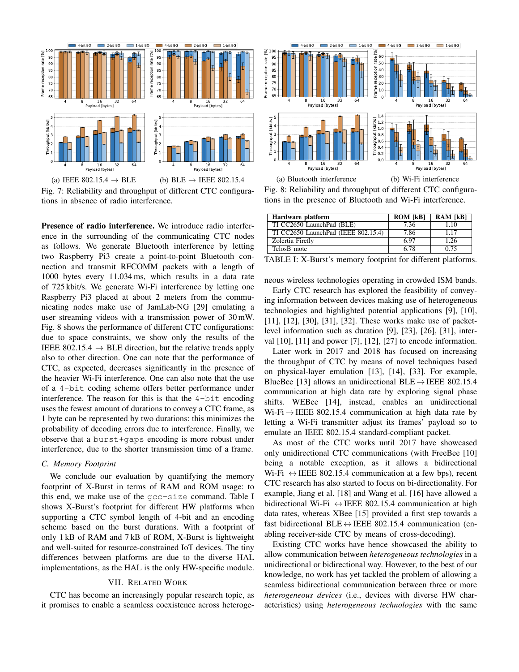

(a) IEEE 802.15.4  $\rightarrow$  BLE (b) BLE  $\rightarrow$  IEEE 802.15.4 Fig. 7: Reliability and throughput of different CTC configurations in absence of radio interference.

Presence of radio interference. We introduce radio interference in the surrounding of the communicating CTC nodes as follows. We generate Bluetooth interference by letting two Raspberry Pi3 create a point-to-point Bluetooth connection and transmit RFCOMM packets with a length of 1000 bytes every 11.034 ms, which results in a data rate of 725 kbit/s. We generate Wi-Fi interference by letting one Raspberry Pi3 placed at about 2 meters from the communicating nodes make use of JamLab-NG [29] emulating a user streaming videos with a transmission power of 30 mW. Fig. 8 shows the performance of different CTC configurations: due to space constraints, we show only the results of the IEEE 802.15.4  $\rightarrow$  BLE direction, but the relative trends apply also to other direction. One can note that the performance of CTC, as expected, decreases significantly in the presence of the heavier Wi-Fi interference. One can also note that the use of a 4-bit coding scheme offers better performance under interference. The reason for this is that the 4-bit encoding uses the fewest amount of durations to convey a CTC frame, as 1 byte can be represented by two durations: this minimizes the probability of decoding errors due to interference. Finally, we observe that a burst+gaps encoding is more robust under interference, due to the shorter transmission time of a frame.

#### *C. Memory Footprint*

We conclude our evaluation by quantifying the memory footprint of X-Burst in terms of RAM and ROM usage: to this end, we make use of the gcc-size command. Table I shows X-Burst's footprint for different HW platforms when supporting a CTC symbol length of 4-bit and an encoding scheme based on the burst durations. With a footprint of only 1 kB of RAM and 7 kB of ROM, X-Burst is lightweight and well-suited for resource-constrained IoT devices. The tiny differences between platforms are due to the diverse HAL implementations, as the HAL is the only HW-specific module.

## VII. RELATED WORK

CTC has become an increasingly popular research topic, as it promises to enable a seamless coexistence across heteroge-



Fig. 8: Reliability and throughput of different CTC configurations in the presence of Bluetooth and Wi-Fi interference.

| <b>Hardware</b> platform            | <b>ROM</b> [kB] | <b>RAM</b> [kB] |
|-------------------------------------|-----------------|-----------------|
| TI CC2650 LaunchPad (BLE)           | 7.36            | 1.10            |
| TI CC2650 LaunchPad (IEEE 802.15.4) | 7.86            | 1.17            |
| Zolertia Firefly                    | 6.97            | 1.26            |
| TelosB mote                         | 6.78            | 0.75            |

TABLE I: X-Burst's memory footprint for different platforms.

neous wireless technologies operating in crowded ISM bands.

Early CTC research has explored the feasibility of conveying information between devices making use of heterogeneous technologies and highlighted potential applications [9], [10], [11], [12], [30], [31], [32]. These works make use of packetlevel information such as duration [9], [23], [26], [31], interval [10], [11] and power [7], [12], [27] to encode information.

Later work in 2017 and 2018 has focused on increasing the throughput of CTC by means of novel techniques based on physical-layer emulation [13], [14], [33]. For example, BlueBee [13] allows an unidirectional BLE  $\rightarrow$  IEEE 802.15.4 communication at high data rate by exploring signal phase shifts. WEBee [14], instead, enables an unidirectional Wi-Fi  $\rightarrow$  IEEE 802.15.4 communication at high data rate by letting a Wi-Fi transmitter adjust its frames' payload so to emulate an IEEE 802.15.4 standard-compliant packet.

As most of the CTC works until 2017 have showcased only unidirectional CTC communications (with FreeBee [10] being a notable exception, as it allows a bidirectional Wi-Fi  $\leftrightarrow$  IEEE 802.15.4 communication at a few bps), recent CTC research has also started to focus on bi-directionality. For example, Jiang et al. [18] and Wang et al. [16] have allowed a bidirectional Wi-Fi  $\leftrightarrow$  IEEE 802.15.4 communication at high data rates, whereas XBee [15] provided a first step towards a fast bidirectional BLE  $\leftrightarrow$  IEEE 802.15.4 communication (enabling receiver-side CTC by means of cross-decoding).

Existing CTC works have hence showcased the ability to allow communication between *heterogeneous technologies* in a unidirectional or bidirectional way. However, to the best of our knowledge, no work has yet tackled the problem of allowing a seamless bidirectional communication between three or more *heterogeneous devices* (i.e., devices with diverse HW characteristics) using *heterogeneous technologies* with the same